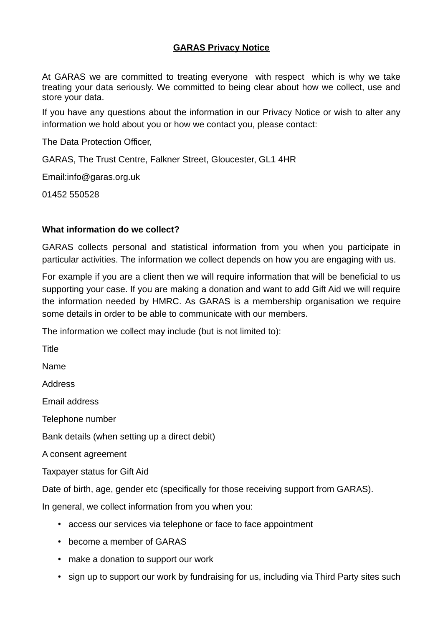## **GARAS Privacy Notice**

At GARAS we are committed to treating everyone with respect which is why we take treating your data seriously. We committed to being clear about how we collect, use and store your data.

If you have any questions about the information in our Privacy Notice or wish to alter any information we hold about you or how we contact you, please contact:

The Data Protection Officer,

GARAS, The Trust Centre, Falkner Street, Gloucester, GL1 4HR

Email[:info@garas.org.uk](mailto:info@garas.org.uk)

01452 550528

#### **What information do we collect?**

GARAS collects personal and statistical information from you when you participate in particular activities. The information we collect depends on how you are engaging with us.

For example if you are a client then we will require information that will be beneficial to us supporting your case. If you are making a donation and want to add Gift Aid we will require the information needed by HMRC. As GARAS is a membership organisation we require some details in order to be able to communicate with our members.

The information we collect may include (but is not limited to):

Title Name Address Email address Telephone number Bank details (when setting up a direct debit) A consent agreement Taxpayer status for Gift Aid Date of birth, age, gender etc (specifically for those receiving support from GARAS). In general, we collect information from you when you:

- access our services via telephone or face to face appointment
- become a member of GARAS
- make a donation to support our work
- sign up to support our work by fundraising for us, including via Third Party sites such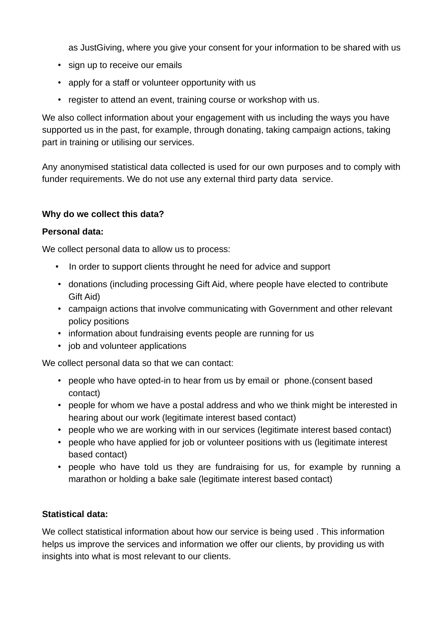as JustGiving, where you give your consent for your information to be shared with us

- sign up to receive our emails
- apply for a staff or volunteer opportunity with us
- register to attend an event, training course or workshop with us.

We also collect information about your engagement with us including the ways you have supported us in the past, for example, through donating, taking campaign actions, taking part in training or utilising our services.

Any anonymised statistical data collected is used for our own purposes and to comply with funder requirements. We do not use any external third party data service.

# **Why do we collect this data?**

## **Personal data:**

We collect personal data to allow us to process:

- In order to support clients throught he need for advice and support
- donations (including processing Gift Aid, where people have elected to contribute Gift Aid)
- campaign actions that involve communicating with Government and other relevant policy positions
- information about fundraising events people are running for us
- job and volunteer applications

We collect personal data so that we can contact:

- people who have opted-in to hear from us by email or phone.(consent based contact)
- people for whom we have a postal address and who we think might be interested in hearing about our work (legitimate interest based contact)
- people who we are working with in our services (legitimate interest based contact)
- people who have applied for job or volunteer positions with us (legitimate interest based contact)
- people who have told us they are fundraising for us, for example by running a marathon or holding a bake sale (legitimate interest based contact)

# **Statistical data:**

We collect statistical information about how our service is being used . This information helps us improve the services and information we offer our clients, by providing us with insights into what is most relevant to our clients.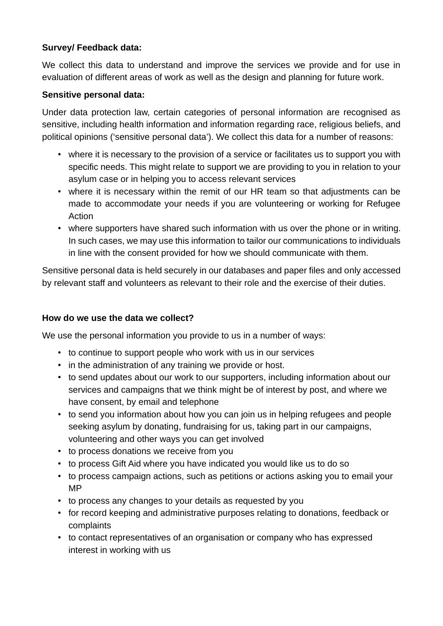# **Survey/ Feedback data:**

We collect this data to understand and improve the services we provide and for use in evaluation of different areas of work as well as the design and planning for future work.

## **Sensitive personal data:**

Under data protection law, certain categories of personal information are recognised as sensitive, including health information and information regarding race, religious beliefs, and political opinions ('sensitive personal data'). We collect this data for a number of reasons:

- where it is necessary to the provision of a service or facilitates us to support you with specific needs. This might relate to support we are providing to you in relation to your asylum case or in helping you to access relevant services
- where it is necessary within the remit of our HR team so that adjustments can be made to accommodate your needs if you are volunteering or working for Refugee Action
- where supporters have shared such information with us over the phone or in writing. In such cases, we may use this information to tailor our communications to individuals in line with the consent provided for how we should communicate with them.

Sensitive personal data is held securely in our databases and paper files and only accessed by relevant staff and volunteers as relevant to their role and the exercise of their duties.

# **How do we use the data we collect?**

We use the personal information you provide to us in a number of ways:

- to continue to support people who work with us in our services
- in the administration of any training we provide or host.
- to send updates about our work to our supporters, including information about our services and campaigns that we think might be of interest by post, and where we have consent, by email and telephone
- to send you information about how you can join us in helping refugees and people seeking asylum by donating, fundraising for us, taking part in our campaigns, volunteering and other ways you can get involved
- to process donations we receive from you
- to process Gift Aid where you have indicated you would like us to do so
- to process campaign actions, such as petitions or actions asking you to email your MP
- to process any changes to your details as requested by you
- for record keeping and administrative purposes relating to donations, feedback or complaints
- to contact representatives of an organisation or company who has expressed interest in working with us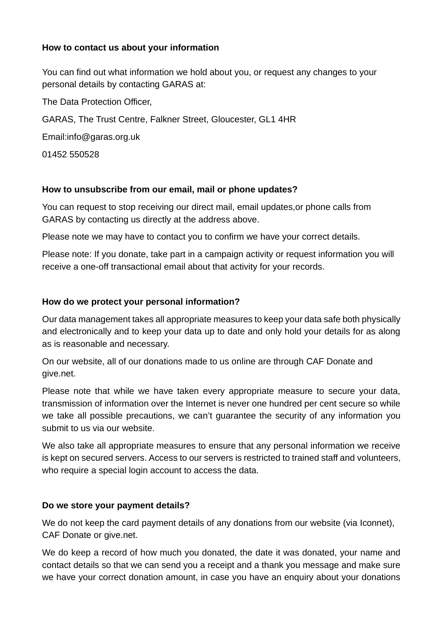# **How to contact us about your information**

You can find out what information we hold about you, or request any changes to your personal details by contacting GARAS at:

The Data Protection Officer,

GARAS, The Trust Centre, Falkner Street, Gloucester, GL1 4HR

Email[:info@garas.org.uk](mailto:info@garas.org.uk)

01452 550528

#### **How to unsubscribe from our email, mail or phone updates?**

You can request to stop receiving our direct mail, email updates,or phone calls from GARAS by contacting us directly at the address above.

Please note we may have to contact you to confirm we have your correct details.

Please note: If you donate, take part in a campaign activity or request information you will receive a one-off transactional email about that activity for your records.

## **How do we protect your personal information?**

Our data management takes all appropriate measures to keep your data safe both physically and electronically and to keep your data up to date and only hold your details for as along as is reasonable and necessary.

On our website, all of our donations made to us online are through CAF Donate and give.net.

Please note that while we have taken every appropriate measure to secure your data, transmission of information over the Internet is never one hundred per cent secure so while we take all possible precautions, we can't guarantee the security of any information you submit to us via our website.

We also take all appropriate measures to ensure that any personal information we receive is kept on secured servers. Access to our servers is restricted to trained staff and volunteers, who require a special login account to access the data.

#### **Do we store your payment details?**

We do not keep the card payment details of any donations from our website (via Iconnet), CAF Donate or give.net.

We do keep a record of how much you donated, the date it was donated, your name and contact details so that we can send you a receipt and a thank you message and make sure we have your correct donation amount, in case you have an enquiry about your donations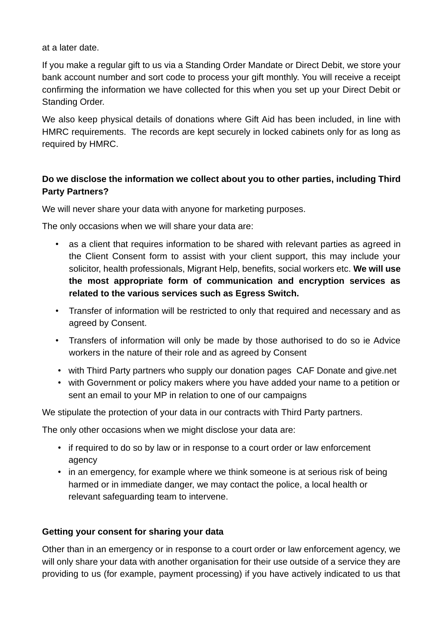at a later date.

If you make a regular gift to us via a Standing Order Mandate or Direct Debit, we store your bank account number and sort code to process your gift monthly. You will receive a receipt confirming the information we have collected for this when you set up your Direct Debit or Standing Order.

We also keep physical details of donations where Gift Aid has been included, in line with HMRC requirements. The records are kept securely in locked cabinets only for as long as required by HMRC.

# **Do we disclose the information we collect about you to other parties, including Third Party Partners?**

We will never share your data with anyone for marketing purposes.

The only occasions when we will share your data are:

- as a client that requires information to be shared with relevant parties as agreed in the Client Consent form to assist with your client support, this may include your solicitor, health professionals, Migrant Help, benefits, social workers etc. **We will use the most appropriate form of communication and encryption services as related to the various services such as Egress Switch.**
- Transfer of information will be restricted to only that required and necessary and as agreed by Consent.
- Transfers of information will only be made by those authorised to do so ie Advice workers in the nature of their role and as agreed by Consent
- with Third Party partners who supply our donation pages CAF Donate and give.net
- with Government or policy makers where you have added your name to a petition or sent an email to your MP in relation to one of our campaigns

We stipulate the protection of your data in our contracts with Third Party partners.

The only other occasions when we might disclose your data are:

- if required to do so by law or in response to a court order or law enforcement agency
- in an emergency, for example where we think someone is at serious risk of being harmed or in immediate danger, we may contact the police, a local health or relevant safeguarding team to intervene.

# **Getting your consent for sharing your data**

Other than in an emergency or in response to a court order or law enforcement agency, we will only share your data with another organisation for their use outside of a service they are providing to us (for example, payment processing) if you have actively indicated to us that